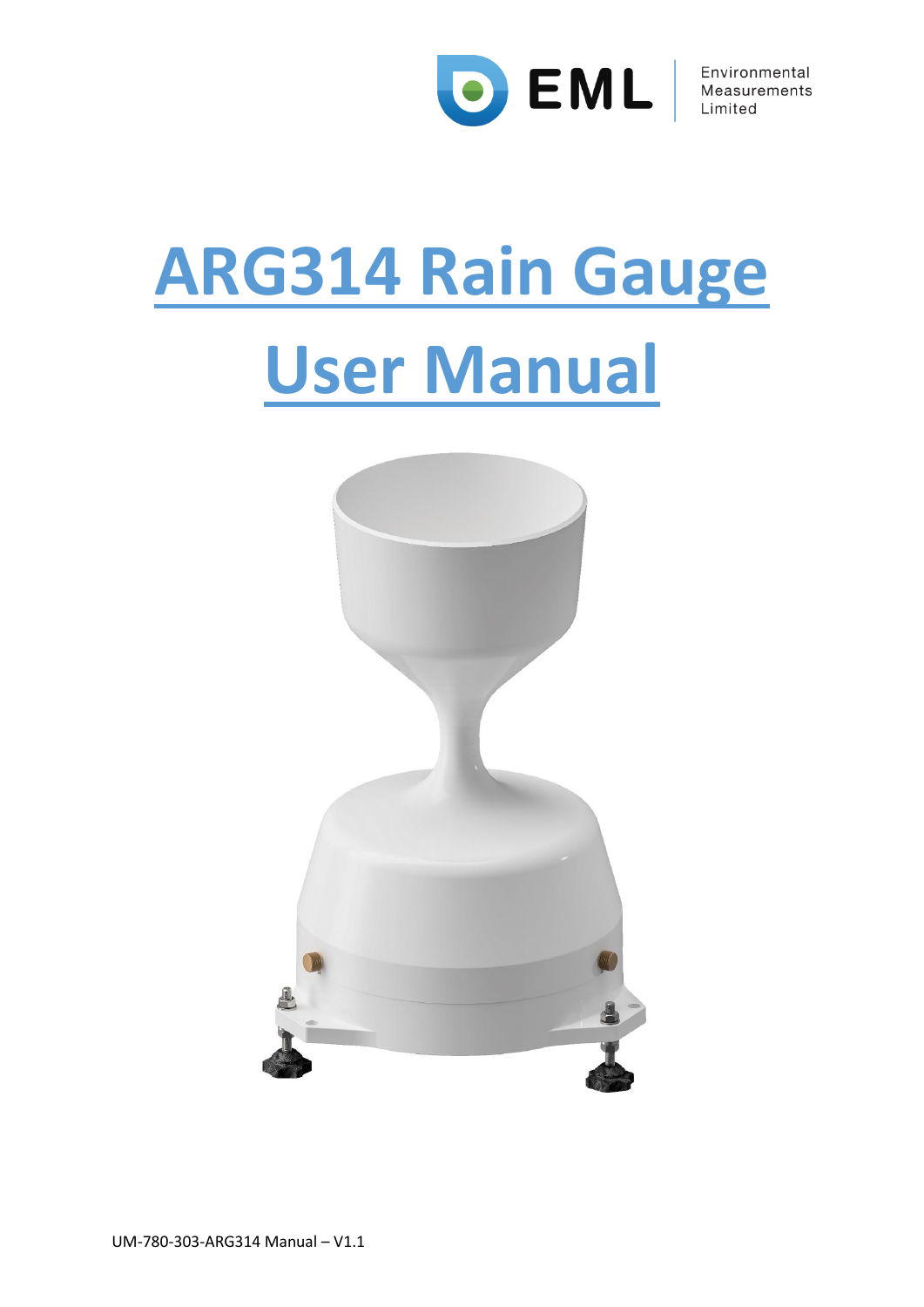

# **ARG314 Rain Gauge User Manual**

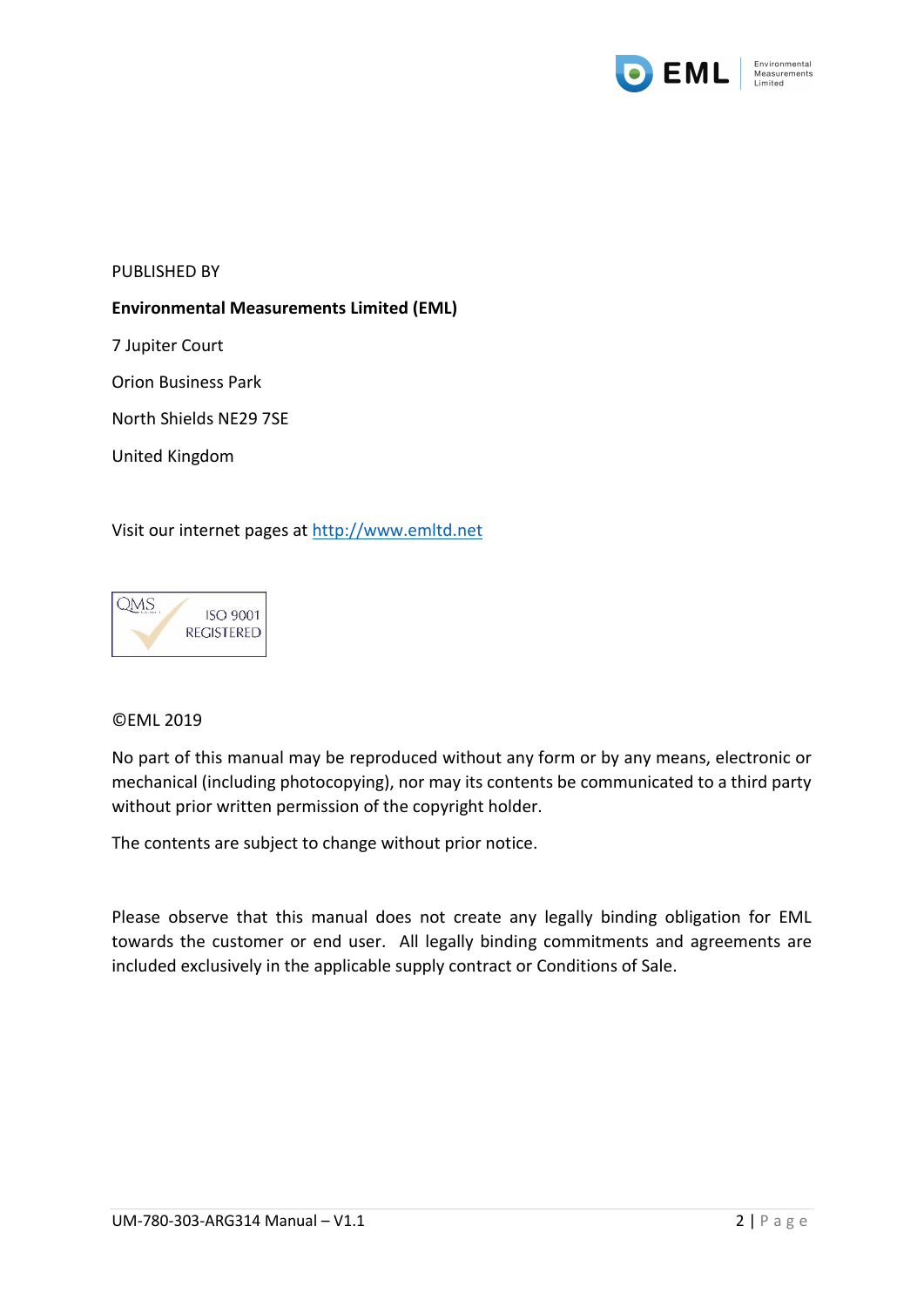

#### PUBLISHED BY

#### **Environmental Measurements Limited (EML)**

7 Jupiter Court

Orion Business Park

North Shields NE29 7SE

United Kingdom

#### Visit our internet pages at [http://www.emltd.net](http://www.emltd.net/)



#### ©EML 2019

No part of this manual may be reproduced without any form or by any means, electronic or mechanical (including photocopying), nor may its contents be communicated to a third party without prior written permission of the copyright holder.

The contents are subject to change without prior notice.

Please observe that this manual does not create any legally binding obligation for EML towards the customer or end user. All legally binding commitments and agreements are included exclusively in the applicable supply contract or Conditions of Sale.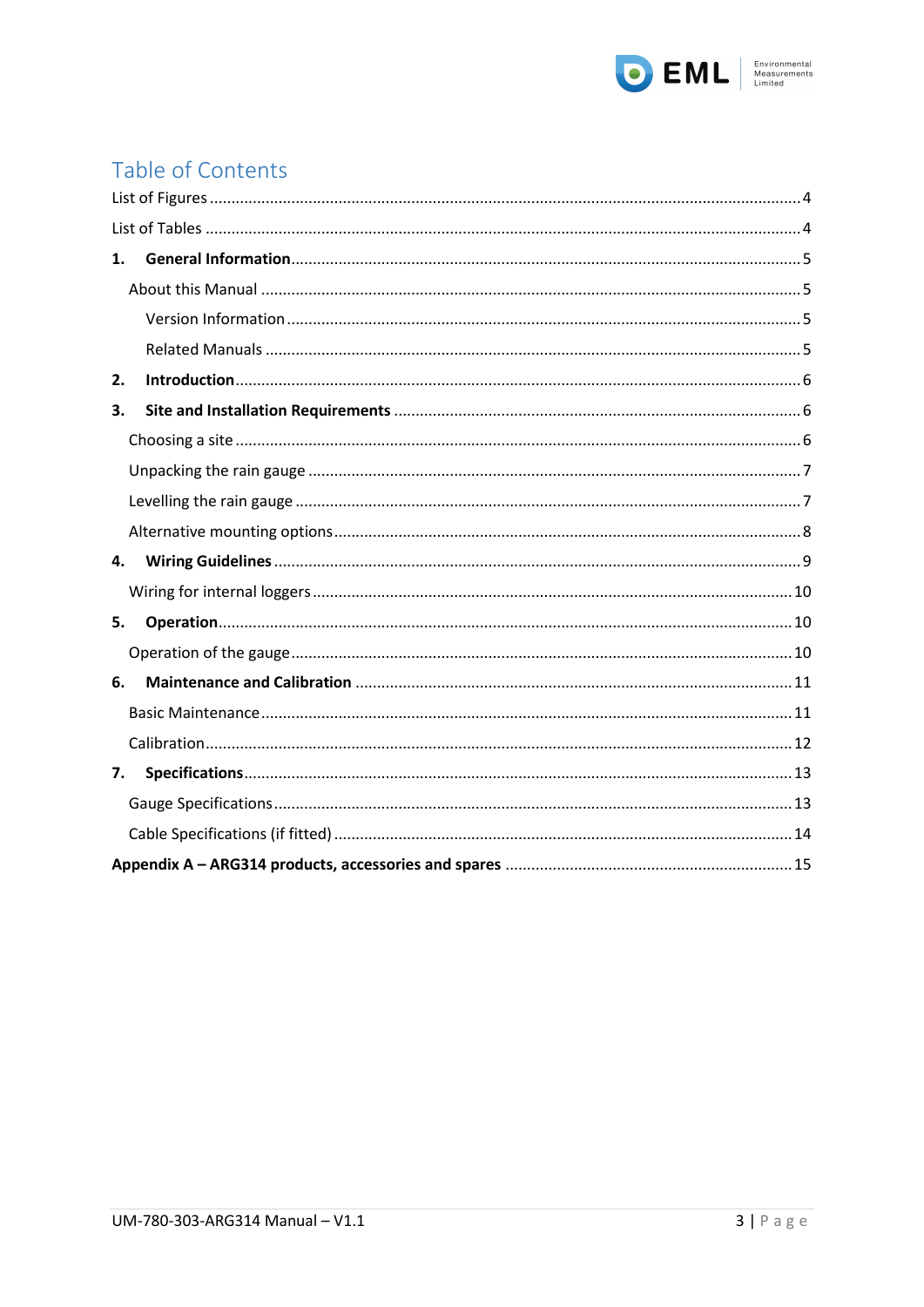

# Table of Contents

| 1. |  |  |  |
|----|--|--|--|
|    |  |  |  |
|    |  |  |  |
|    |  |  |  |
| 2. |  |  |  |
| 3. |  |  |  |
|    |  |  |  |
|    |  |  |  |
|    |  |  |  |
|    |  |  |  |
| 4. |  |  |  |
|    |  |  |  |
| 5. |  |  |  |
|    |  |  |  |
| 6. |  |  |  |
|    |  |  |  |
|    |  |  |  |
| 7. |  |  |  |
|    |  |  |  |
|    |  |  |  |
|    |  |  |  |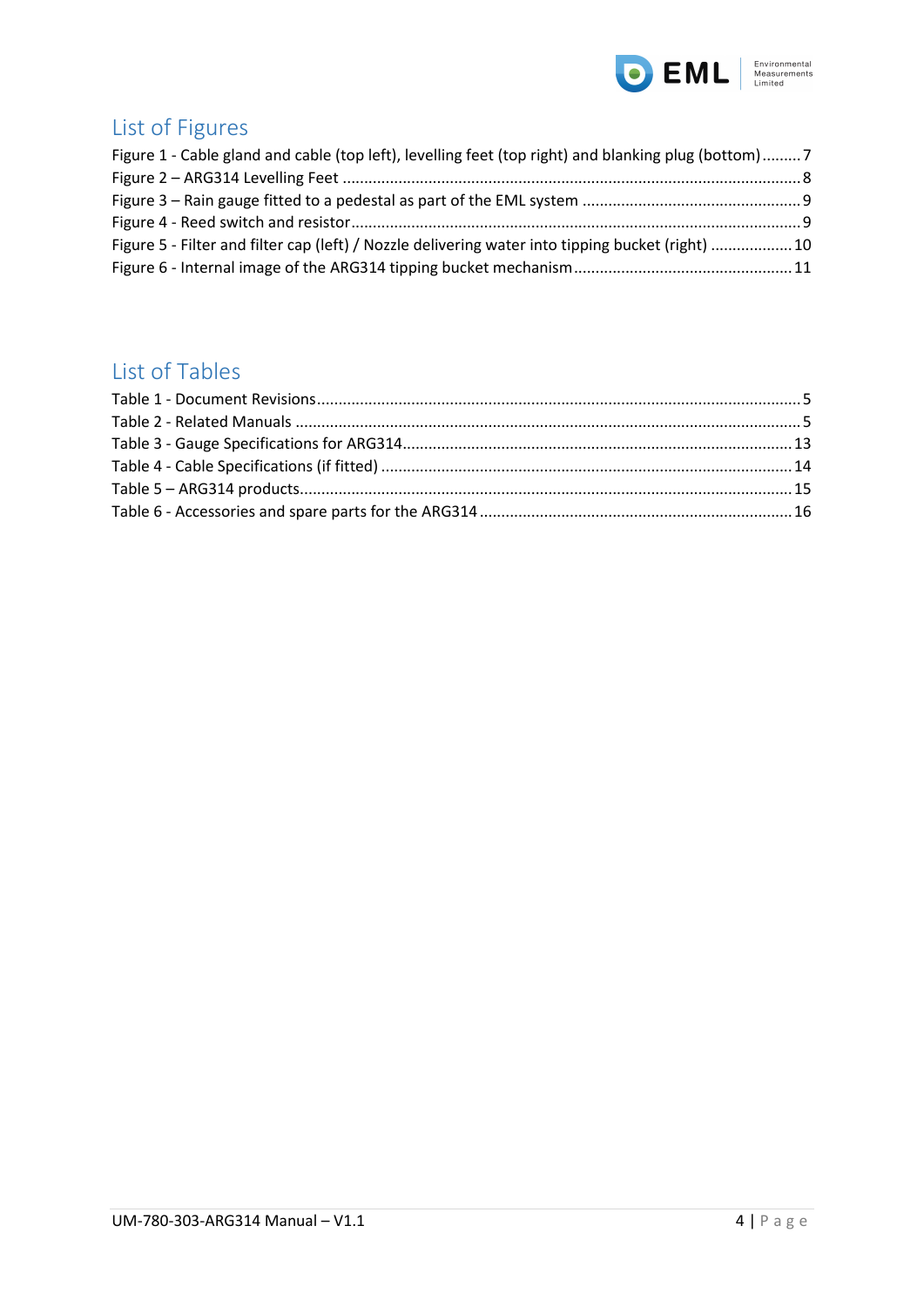

# <span id="page-3-0"></span>List of Figures

| Figure 1 - Cable gland and cable (top left), levelling feet (top right) and blanking plug (bottom)7 |  |
|-----------------------------------------------------------------------------------------------------|--|
|                                                                                                     |  |
|                                                                                                     |  |
|                                                                                                     |  |
| Figure 5 - Filter and filter cap (left) / Nozzle delivering water into tipping bucket (right) 10    |  |
|                                                                                                     |  |

## <span id="page-3-1"></span>List of Tables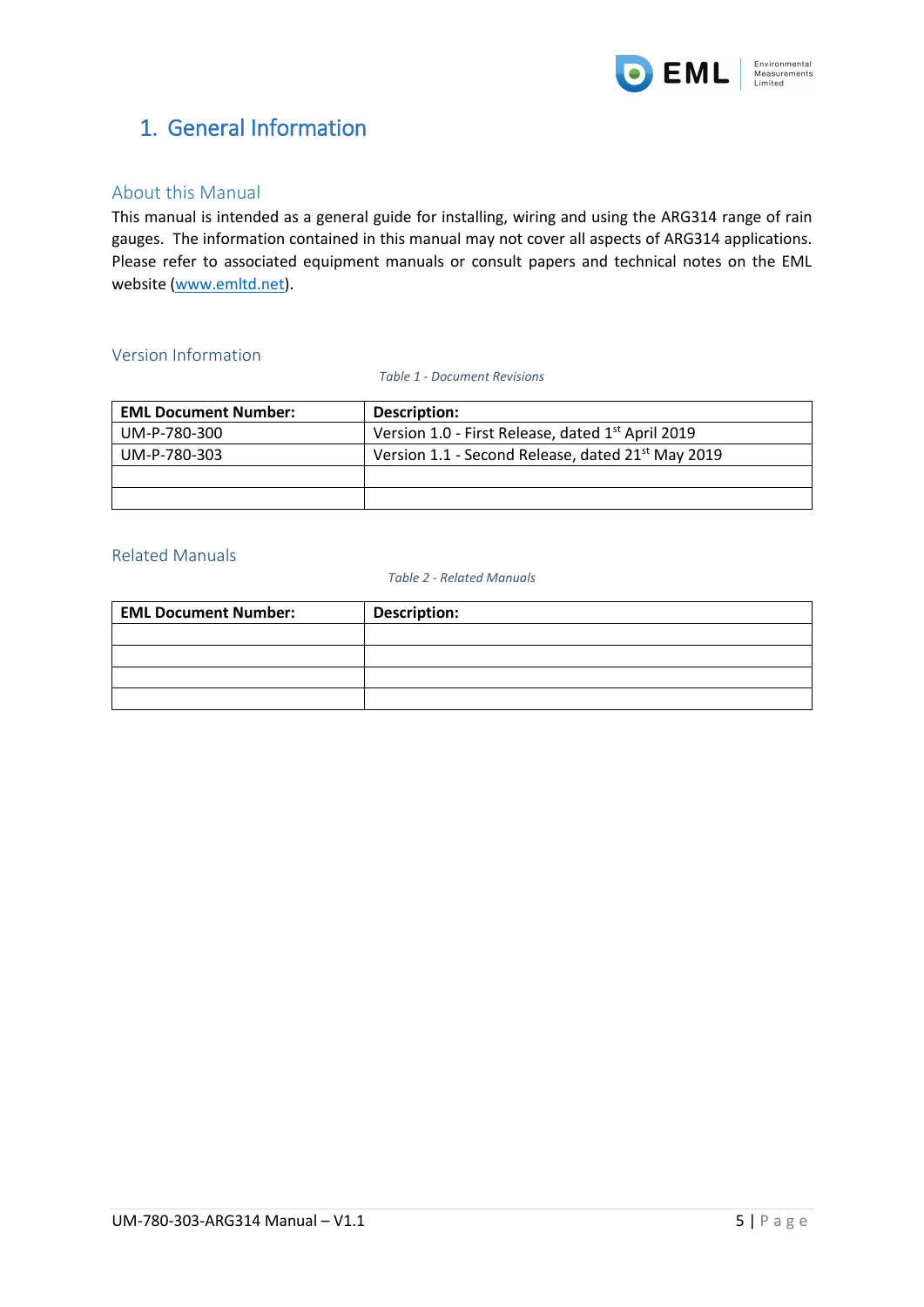

## <span id="page-4-0"></span>1. General Information

#### <span id="page-4-1"></span>About this Manual

This manual is intended as a general guide for installing, wiring and using the ARG314 range of rain gauges. The information contained in this manual may not cover all aspects of ARG314 applications. Please refer to associated equipment manuals or consult papers and technical notes on the EML website [\(www.emltd.net\)](http://www.emltd.net/).

#### <span id="page-4-4"></span><span id="page-4-2"></span>Version Information

*Table 1 - Document Revisions*

| <b>EML Document Number:</b> | Description:                                                  |
|-----------------------------|---------------------------------------------------------------|
| UM-P-780-300                | Version 1.0 - First Release, dated 1 <sup>st</sup> April 2019 |
| UM-P-780-303                | Version 1.1 - Second Release, dated 21 <sup>st</sup> May 2019 |
|                             |                                                               |
|                             |                                                               |

#### <span id="page-4-5"></span><span id="page-4-3"></span>Related Manuals

*Table 2 - Related Manuals*

| <b>EML Document Number:</b> | <b>Description:</b> |
|-----------------------------|---------------------|
|                             |                     |
|                             |                     |
|                             |                     |
|                             |                     |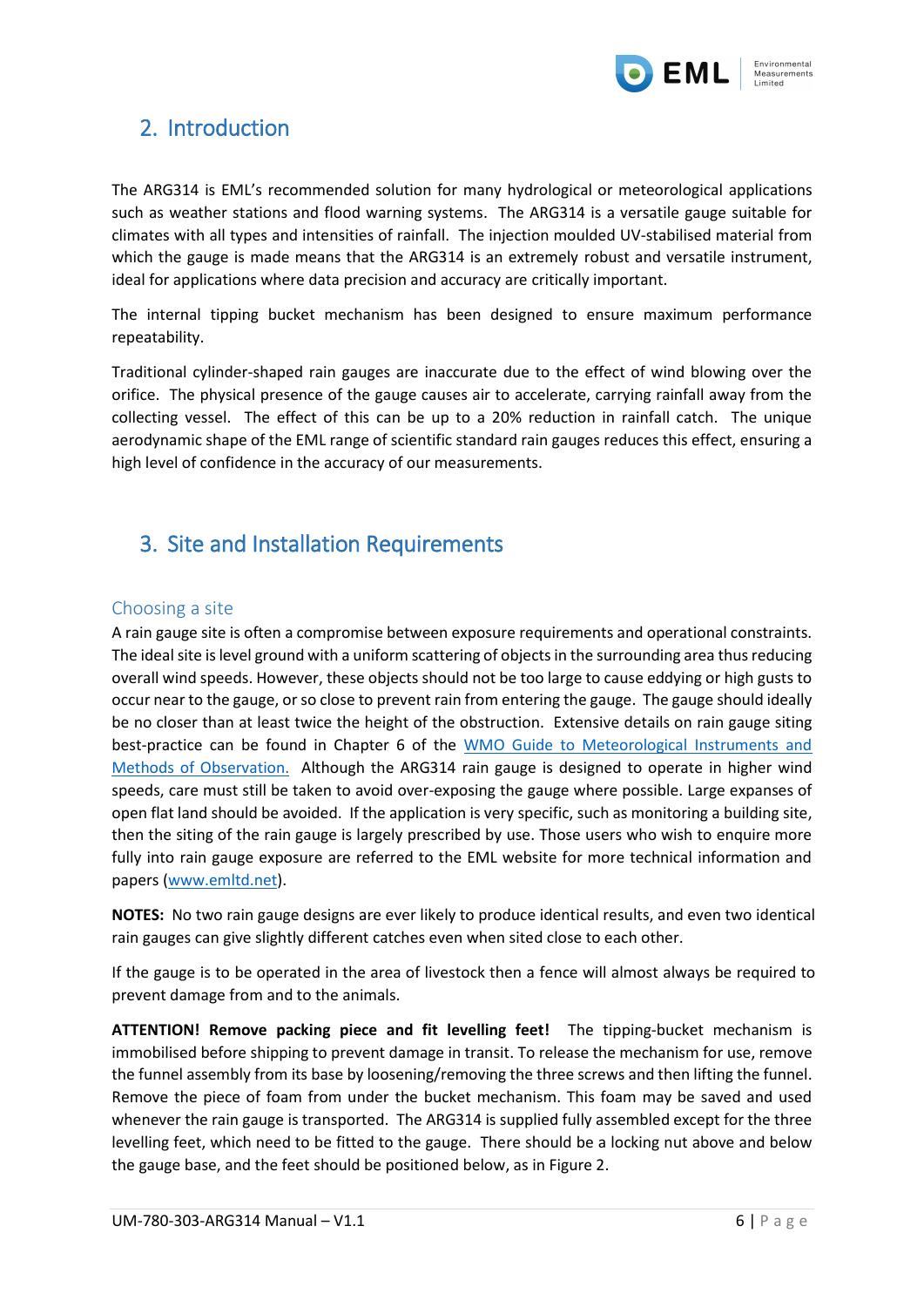

## <span id="page-5-0"></span>2. Introduction

The ARG314 is EML's recommended solution for many hydrological or meteorological applications such as weather stations and flood warning systems. The ARG314 is a versatile gauge suitable for climates with all types and intensities of rainfall. The injection moulded UV-stabilised material from which the gauge is made means that the ARG314 is an extremely robust and versatile instrument, ideal for applications where data precision and accuracy are critically important.

The internal tipping bucket mechanism has been designed to ensure maximum performance repeatability.

Traditional cylinder-shaped rain gauges are inaccurate due to the effect of wind blowing over the orifice. The physical presence of the gauge causes air to accelerate, carrying rainfall away from the collecting vessel. The effect of this can be up to a 20% reduction in rainfall catch. The unique aerodynamic shape of the EML range of scientific standard rain gauges reduces this effect, ensuring a high level of confidence in the accuracy of our measurements.

## <span id="page-5-1"></span>3. Site and Installation Requirements

#### <span id="page-5-2"></span>Choosing a site

A rain gauge site is often a compromise between exposure requirements and operational constraints. The ideal site is level ground with a uniform scattering of objects in the surrounding area thus reducing overall wind speeds. However, these objects should not be too large to cause eddying or high gusts to occur near to the gauge, or so close to prevent rain from entering the gauge. The gauge should ideally be no closer than at least twice the height of the obstruction. Extensive details on rain gauge siting best-practice can be found in Chapter 6 of the [WMO Guide to Meteorological Instruments and](https://library.wmo.int/pmb_ged/wmo_8_en-2012.pdf)  [Methods of Observation.](https://library.wmo.int/pmb_ged/wmo_8_en-2012.pdf) Although the ARG314 rain gauge is designed to operate in higher wind speeds, care must still be taken to avoid over-exposing the gauge where possible. Large expanses of open flat land should be avoided. If the application is very specific, such as monitoring a building site, then the siting of the rain gauge is largely prescribed by use. Those users who wish to enquire more fully into rain gauge exposure are referred to the EML website for more technical information and papers [\(www.emltd.net\)](http://www.emltd.net/).

**NOTES:** No two rain gauge designs are ever likely to produce identical results, and even two identical rain gauges can give slightly different catches even when sited close to each other.

If the gauge is to be operated in the area of livestock then a fence will almost always be required to prevent damage from and to the animals.

**ATTENTION! Remove packing piece and fit levelling feet!** The tipping-bucket mechanism is immobilised before shipping to prevent damage in transit. To release the mechanism for use, remove the funnel assembly from its base by loosening/removing the three screws and then lifting the funnel. Remove the piece of foam from under the bucket mechanism. This foam may be saved and used whenever the rain gauge is transported. The ARG314 is supplied fully assembled except for the three levelling feet, which need to be fitted to the gauge. There should be a locking nut above and below the gauge base, and the feet should be positioned below, as i[n Figure 2.](#page-7-1)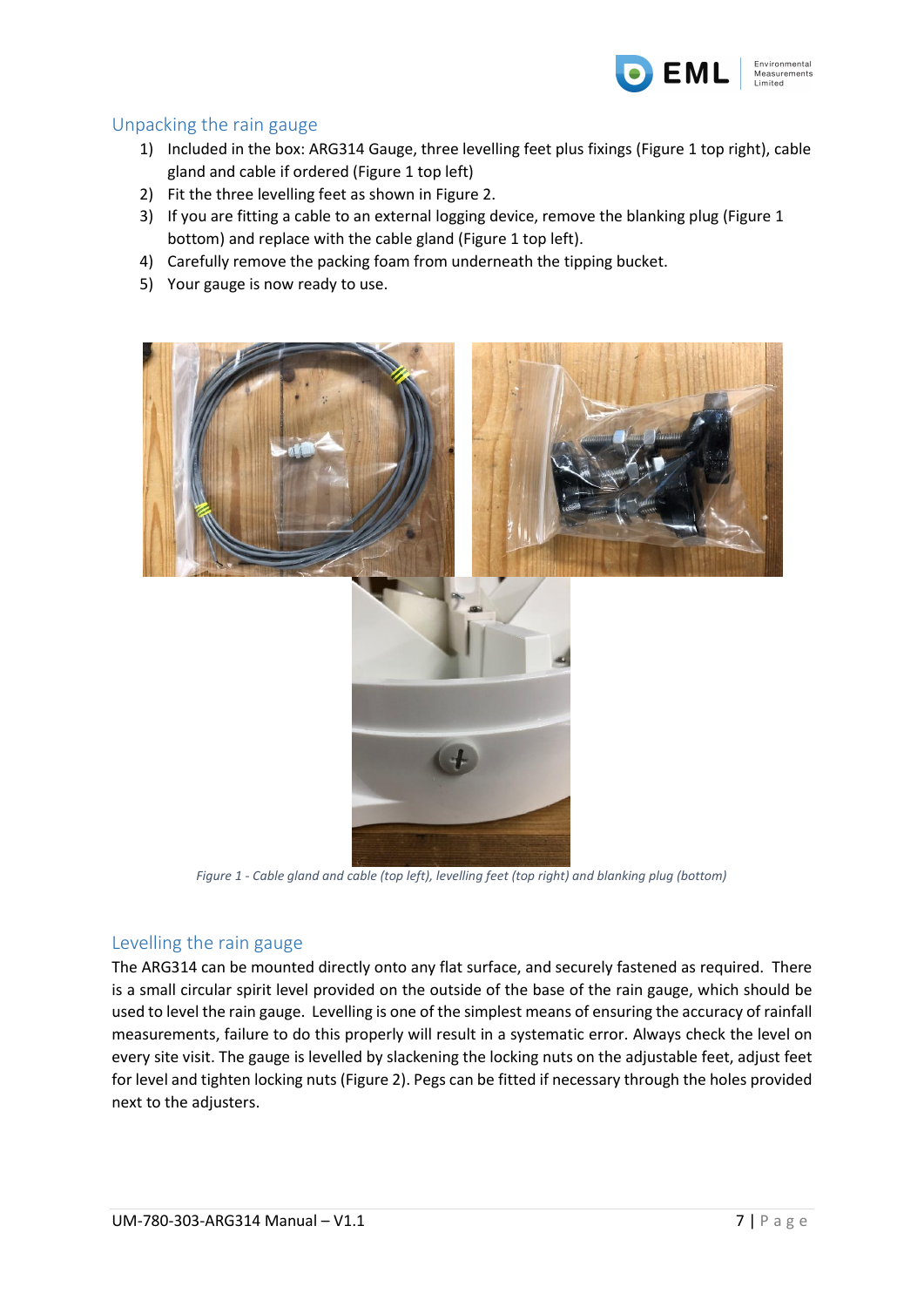

#### <span id="page-6-0"></span>Unpacking the rain gauge

- 1) Included in the box: ARG314 Gauge, three levelling feet plus fixings [\(Figure 1](#page-6-2) top right), cable gland and cable if ordered [\(Figure 1](#page-6-2) top left)
- 2) Fit the three levelling feet as shown i[n Figure 2.](#page-7-1)
- 3) If you are fitting a cable to an external logging device, remove the blanking plug [\(Figure 1](#page-6-2) bottom) and replace with the cable gland [\(Figure 1](#page-6-2) top left).
- 4) Carefully remove the packing foam from underneath the tipping bucket.
- 5) Your gauge is now ready to use.



*Figure 1 - Cable gland and cable (top left), levelling feet (top right) and blanking plug (bottom)*

#### <span id="page-6-2"></span><span id="page-6-1"></span>Levelling the rain gauge

The ARG314 can be mounted directly onto any flat surface, and securely fastened as required. There is a small circular spirit level provided on the outside of the base of the rain gauge, which should be used to level the rain gauge. Levelling is one of the simplest means of ensuring the accuracy of rainfall measurements, failure to do this properly will result in a systematic error. Always check the level on every site visit. The gauge is levelled by slackening the locking nuts on the adjustable feet, adjust feet for level and tighten locking nuts [\(Figure 2\)](#page-7-1). Pegs can be fitted if necessary through the holes provided next to the adjusters.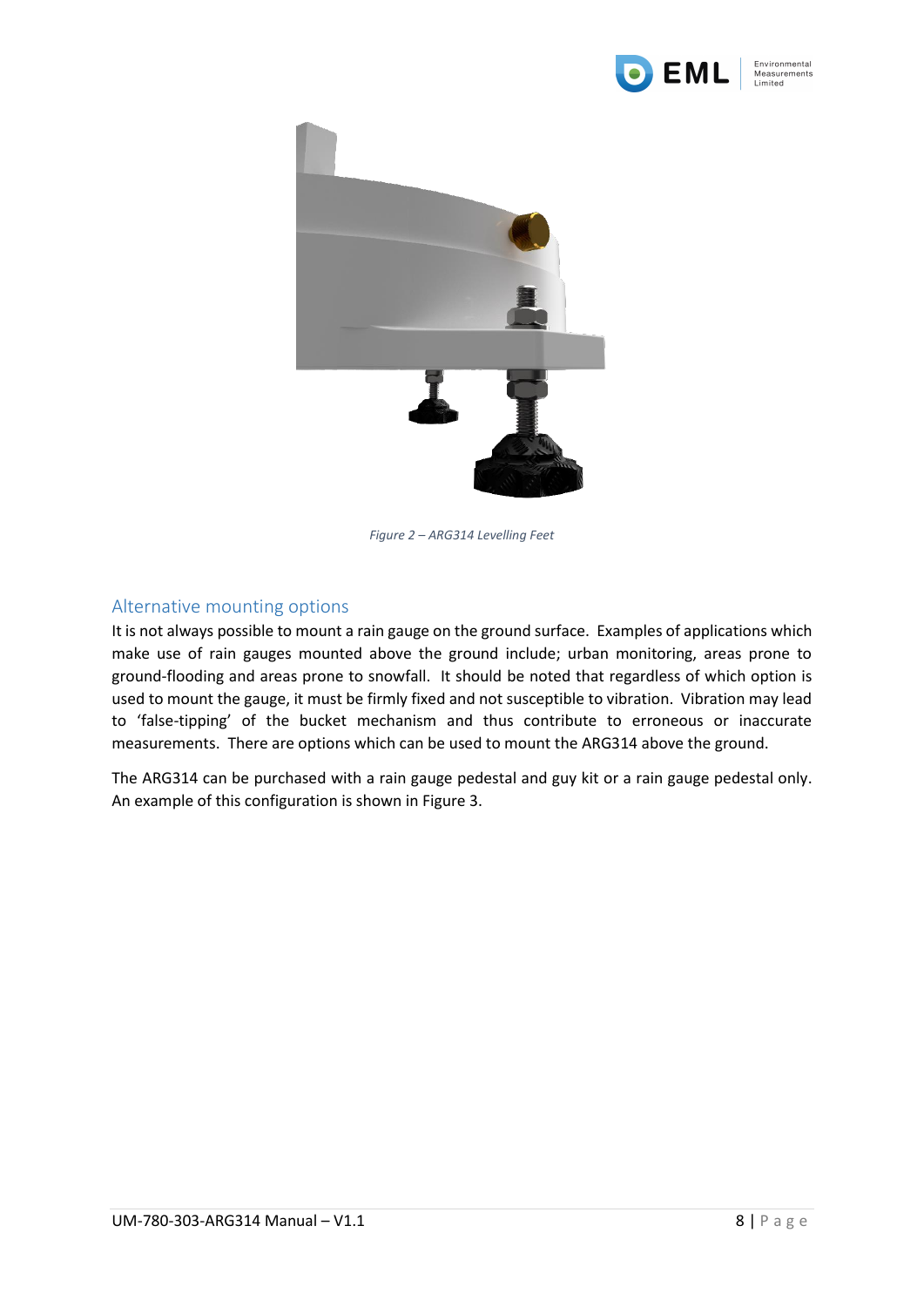



*Figure 2 – ARG314 Levelling Feet*

#### <span id="page-7-1"></span><span id="page-7-0"></span>Alternative mounting options

It is not always possible to mount a rain gauge on the ground surface. Examples of applications which make use of rain gauges mounted above the ground include; urban monitoring, areas prone to ground-flooding and areas prone to snowfall. It should be noted that regardless of which option is used to mount the gauge, it must be firmly fixed and not susceptible to vibration. Vibration may lead to 'false-tipping' of the bucket mechanism and thus contribute to erroneous or inaccurate measurements. There are options which can be used to mount the ARG314 above the ground.

The ARG314 can be purchased with a rain gauge pedestal and guy kit or a rain gauge pedestal only. An example of this configuration is shown in [Figure 3.](#page-8-1)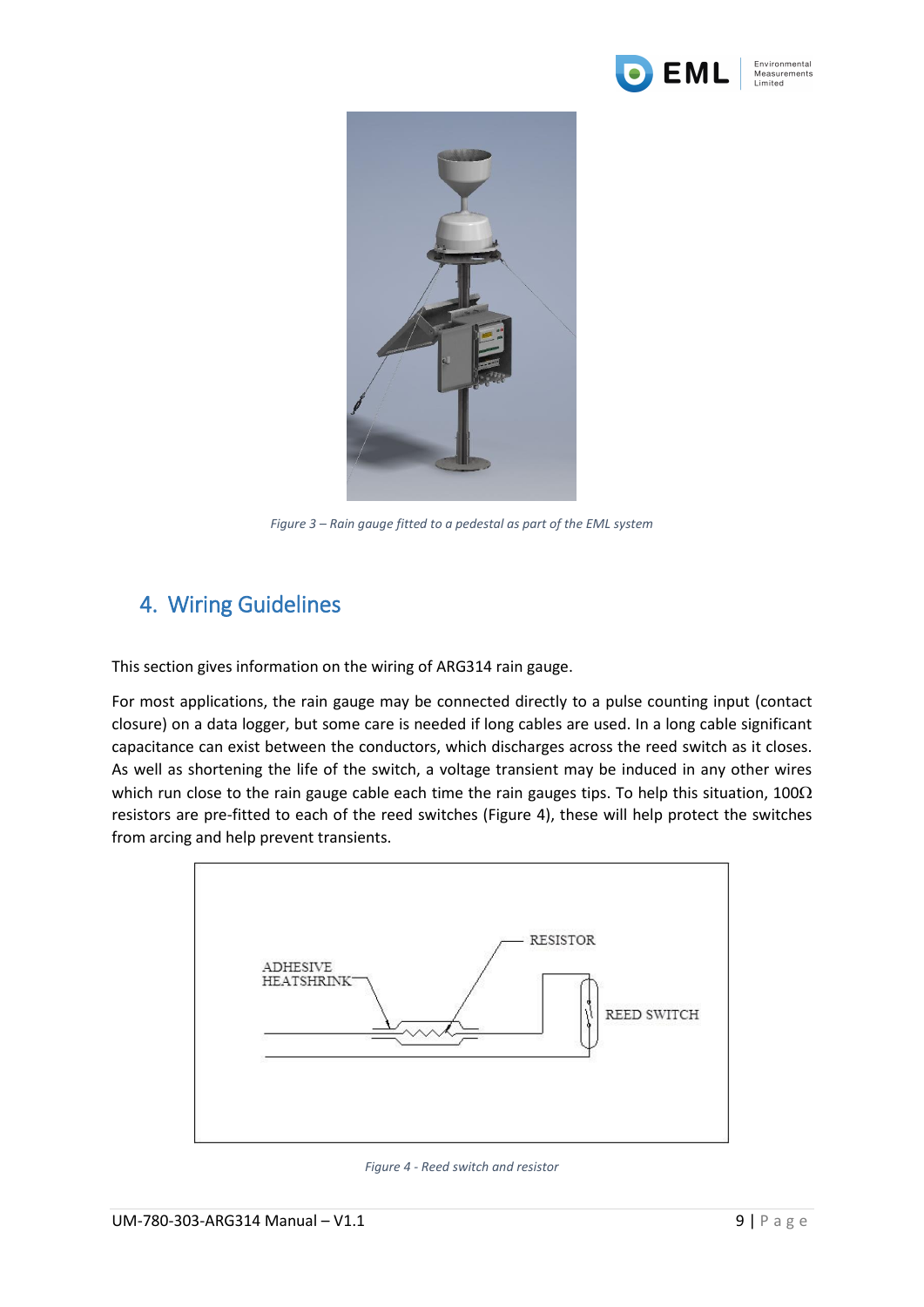



*Figure 3 – Rain gauge fitted to a pedestal as part of the EML system*

## <span id="page-8-1"></span><span id="page-8-0"></span>4. Wiring Guidelines

This section gives information on the wiring of ARG314 rain gauge.

For most applications, the rain gauge may be connected directly to a pulse counting input (contact closure) on a data logger, but some care is needed if long cables are used. In a long cable significant capacitance can exist between the conductors, which discharges across the reed switch as it closes. As well as shortening the life of the switch, a voltage transient may be induced in any other wires which run close to the rain gauge cable each time the rain gauges tips. To help this situation, 100 $\Omega$ resistors are pre-fitted to each of the reed switches [\(Figure 4\)](#page-8-2), these will help protect the switches from arcing and help prevent transients.



<span id="page-8-2"></span>*Figure 4 - Reed switch and resistor*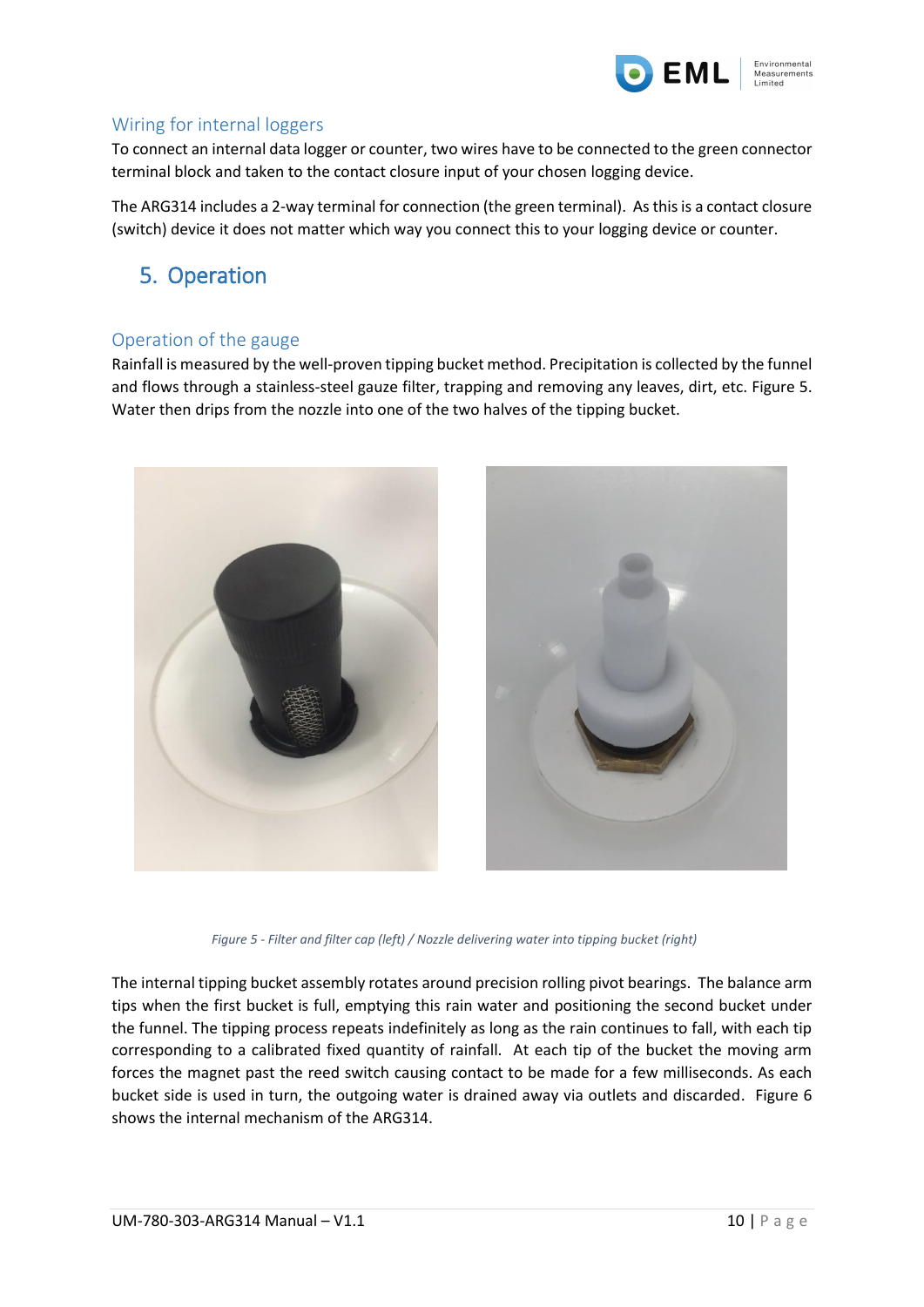

#### <span id="page-9-0"></span>Wiring for internal loggers

To connect an internal data logger or counter, two wires have to be connected to the green connector terminal block and taken to the contact closure input of your chosen logging device.

The ARG314 includes a 2-way terminal for connection (the green terminal). As this is a contact closure (switch) device it does not matter which way you connect this to your logging device or counter.

## <span id="page-9-1"></span>5. Operation

#### <span id="page-9-2"></span>Operation of the gauge

Rainfall is measured by the well-proven tipping bucket method. Precipitation is collected by the funnel and flows through a stainless-steel gauze filter, trapping and removing any leaves, dirt, etc. [Figure 5.](#page-9-3) Water then drips from the nozzle into one of the two halves of the tipping bucket.



*Figure 5 - Filter and filter cap (left) / Nozzle delivering water into tipping bucket (right)*

<span id="page-9-3"></span>The internal tipping bucket assembly rotates around precision rolling pivot bearings. The balance arm tips when the first bucket is full, emptying this rain water and positioning the second bucket under the funnel. The tipping process repeats indefinitely as long as the rain continues to fall, with each tip corresponding to a calibrated fixed quantity of rainfall. At each tip of the bucket the moving arm forces the magnet past the reed switch causing contact to be made for a few milliseconds. As each bucket side is used in turn, the outgoing water is drained away via outlets and discarded. [Figure 6](#page-10-2) shows the internal mechanism of the ARG314.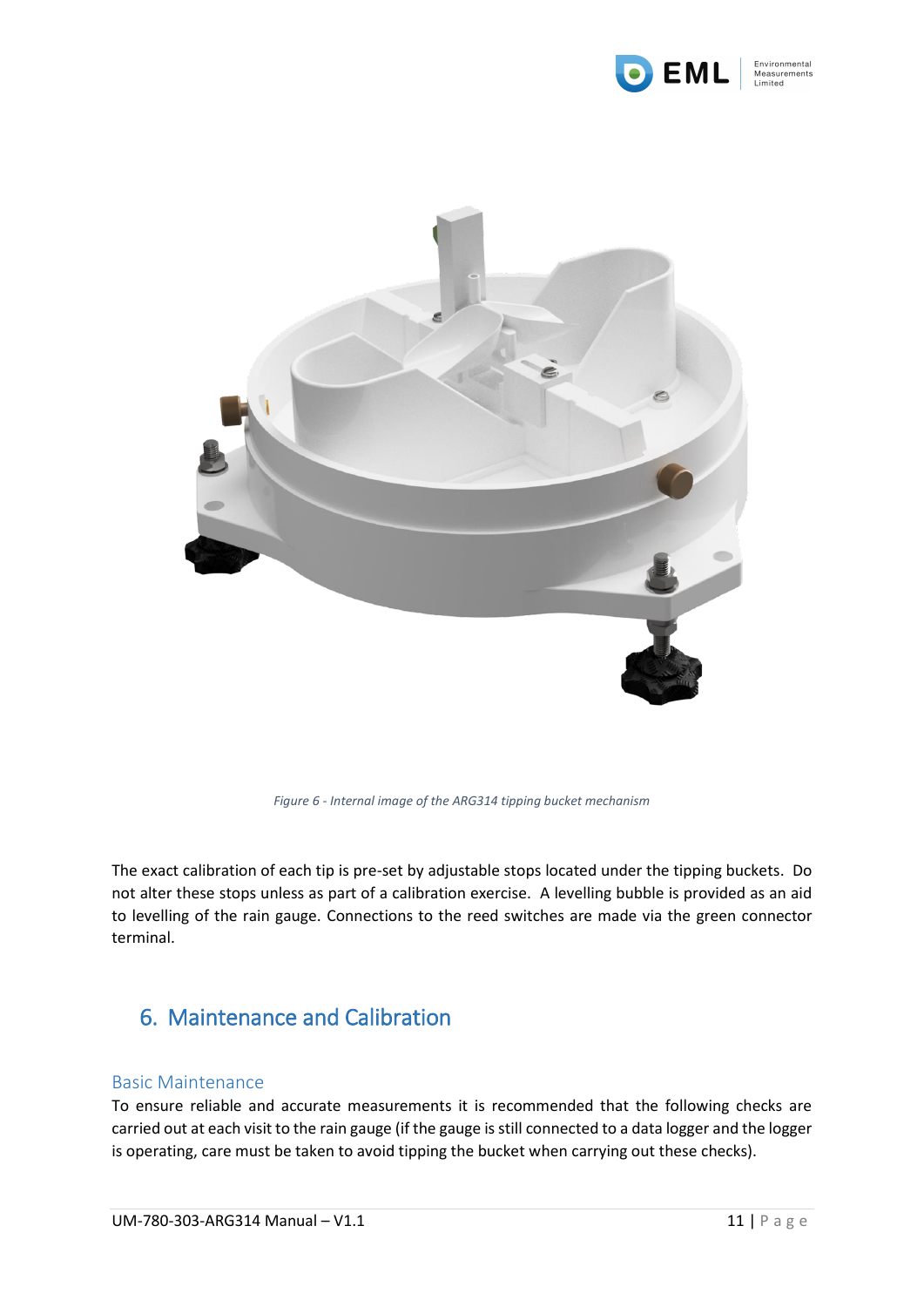



*Figure 6 - Internal image of the ARG314 tipping bucket mechanism*

<span id="page-10-2"></span>The exact calibration of each tip is pre-set by adjustable stops located under the tipping buckets. Do not alter these stops unless as part of a calibration exercise. A levelling bubble is provided as an aid to levelling of the rain gauge. Connections to the reed switches are made via the green connector terminal.

## <span id="page-10-0"></span>6. Maintenance and Calibration

#### <span id="page-10-1"></span>Basic Maintenance

To ensure reliable and accurate measurements it is recommended that the following checks are carried out at each visit to the rain gauge (if the gauge is still connected to a data logger and the logger is operating, care must be taken to avoid tipping the bucket when carrying out these checks).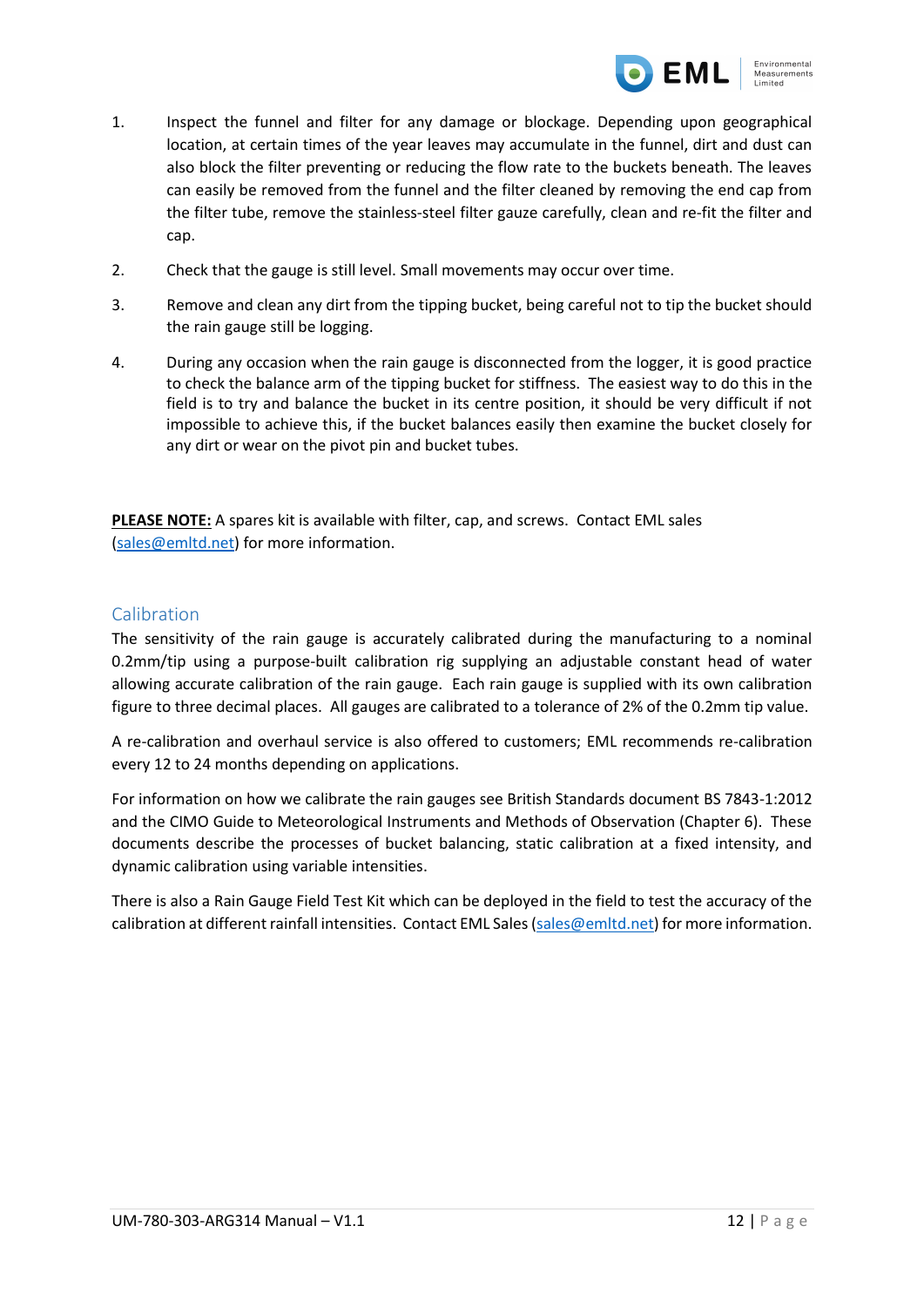

- 1. Inspect the funnel and filter for any damage or blockage. Depending upon geographical location, at certain times of the year leaves may accumulate in the funnel, dirt and dust can also block the filter preventing or reducing the flow rate to the buckets beneath. The leaves can easily be removed from the funnel and the filter cleaned by removing the end cap from the filter tube, remove the stainless-steel filter gauze carefully, clean and re-fit the filter and cap.
- 2. Check that the gauge is still level. Small movements may occur over time.
- 3. Remove and clean any dirt from the tipping bucket, being careful not to tip the bucket should the rain gauge still be logging.
- 4. During any occasion when the rain gauge is disconnected from the logger, it is good practice to check the balance arm of the tipping bucket for stiffness. The easiest way to do this in the field is to try and balance the bucket in its centre position, it should be very difficult if not impossible to achieve this, if the bucket balances easily then examine the bucket closely for any dirt or wear on the pivot pin and bucket tubes.

**PLEASE NOTE:** A spares kit is available with filter, cap, and screws. Contact EML sales [\(sales@emltd.net\)](mailto:sales@emltd.net) for more information.

#### <span id="page-11-0"></span>Calibration

The sensitivity of the rain gauge is accurately calibrated during the manufacturing to a nominal 0.2mm/tip using a purpose-built calibration rig supplying an adjustable constant head of water allowing accurate calibration of the rain gauge. Each rain gauge is supplied with its own calibration figure to three decimal places. All gauges are calibrated to a tolerance of 2% of the 0.2mm tip value.

A re-calibration and overhaul service is also offered to customers; EML recommends re-calibration every 12 to 24 months depending on applications.

For information on how we calibrate the rain gauges see British Standards document BS 7843-1:2012 and the CIMO Guide to Meteorological Instruments and Methods of Observation (Chapter 6). These documents describe the processes of bucket balancing, static calibration at a fixed intensity, and dynamic calibration using variable intensities.

There is also a Rain Gauge Field Test Kit which can be deployed in the field to test the accuracy of the calibration at different rainfall intensities. Contact EML Sales [\(sales@emltd.net\)](mailto:sales@emltd.net) for more information.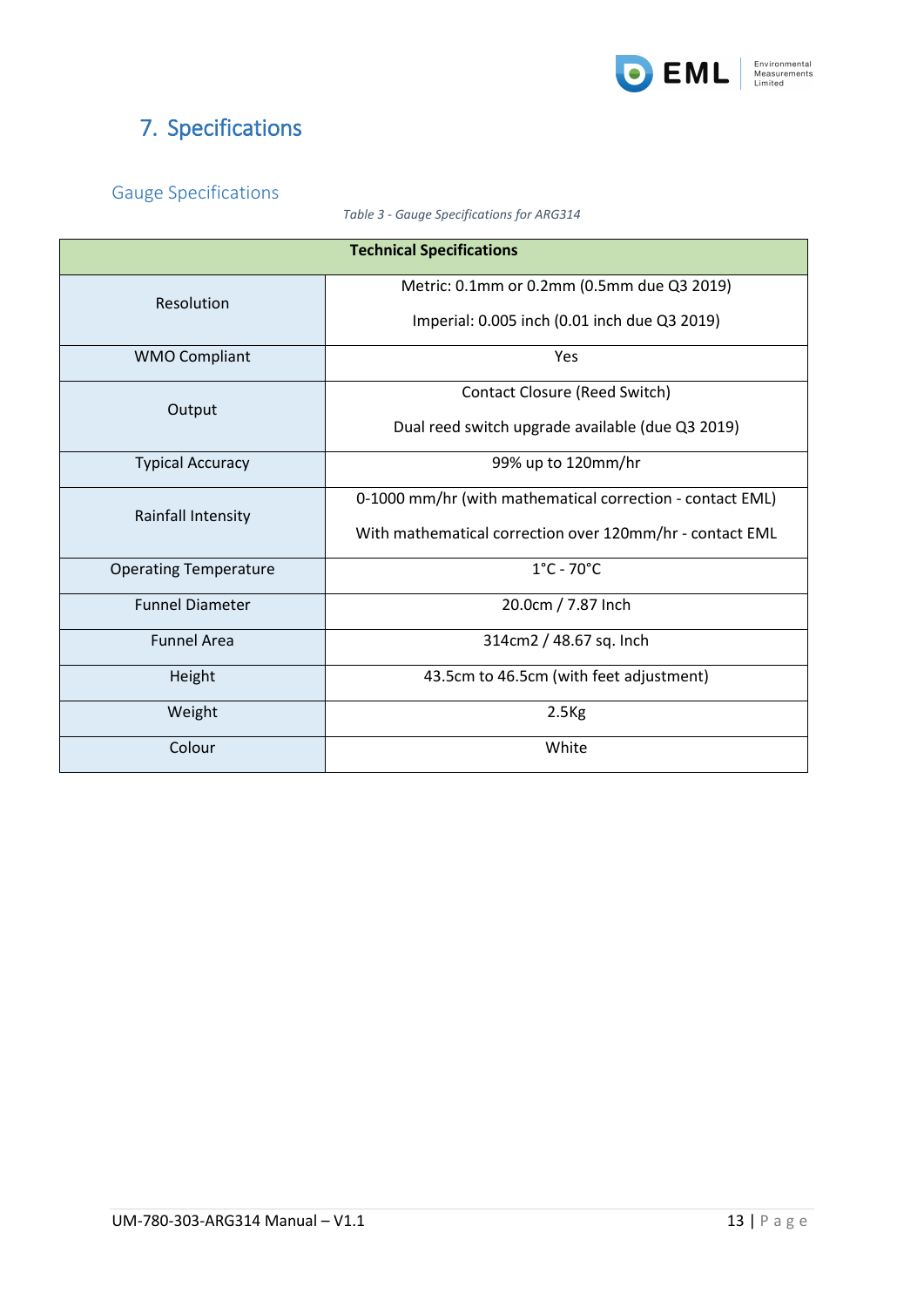

# <span id="page-12-0"></span>7. Specifications

### <span id="page-12-2"></span><span id="page-12-1"></span>Gauge Specifications

*Table 3 - Gauge Specifications for ARG314*

| <b>Technical Specifications</b> |                                                           |
|---------------------------------|-----------------------------------------------------------|
| Resolution                      | Metric: 0.1mm or 0.2mm (0.5mm due Q3 2019)                |
|                                 | Imperial: 0.005 inch (0.01 inch due Q3 2019)              |
| <b>WMO Compliant</b>            | Yes                                                       |
| Output                          | Contact Closure (Reed Switch)                             |
|                                 | Dual reed switch upgrade available (due Q3 2019)          |
| <b>Typical Accuracy</b>         | 99% up to 120mm/hr                                        |
| <b>Rainfall Intensity</b>       | 0-1000 mm/hr (with mathematical correction - contact EML) |
|                                 | With mathematical correction over 120mm/hr - contact EML  |
| <b>Operating Temperature</b>    | $1^{\circ}$ C - 70 $^{\circ}$ C                           |
| <b>Funnel Diameter</b>          | 20.0cm / 7.87 Inch                                        |
| <b>Funnel Area</b>              | 314cm2 / 48.67 sq. Inch                                   |
| Height                          | 43.5cm to 46.5cm (with feet adjustment)                   |
| Weight                          | 2.5 <sub>kg</sub>                                         |
| Colour                          | White                                                     |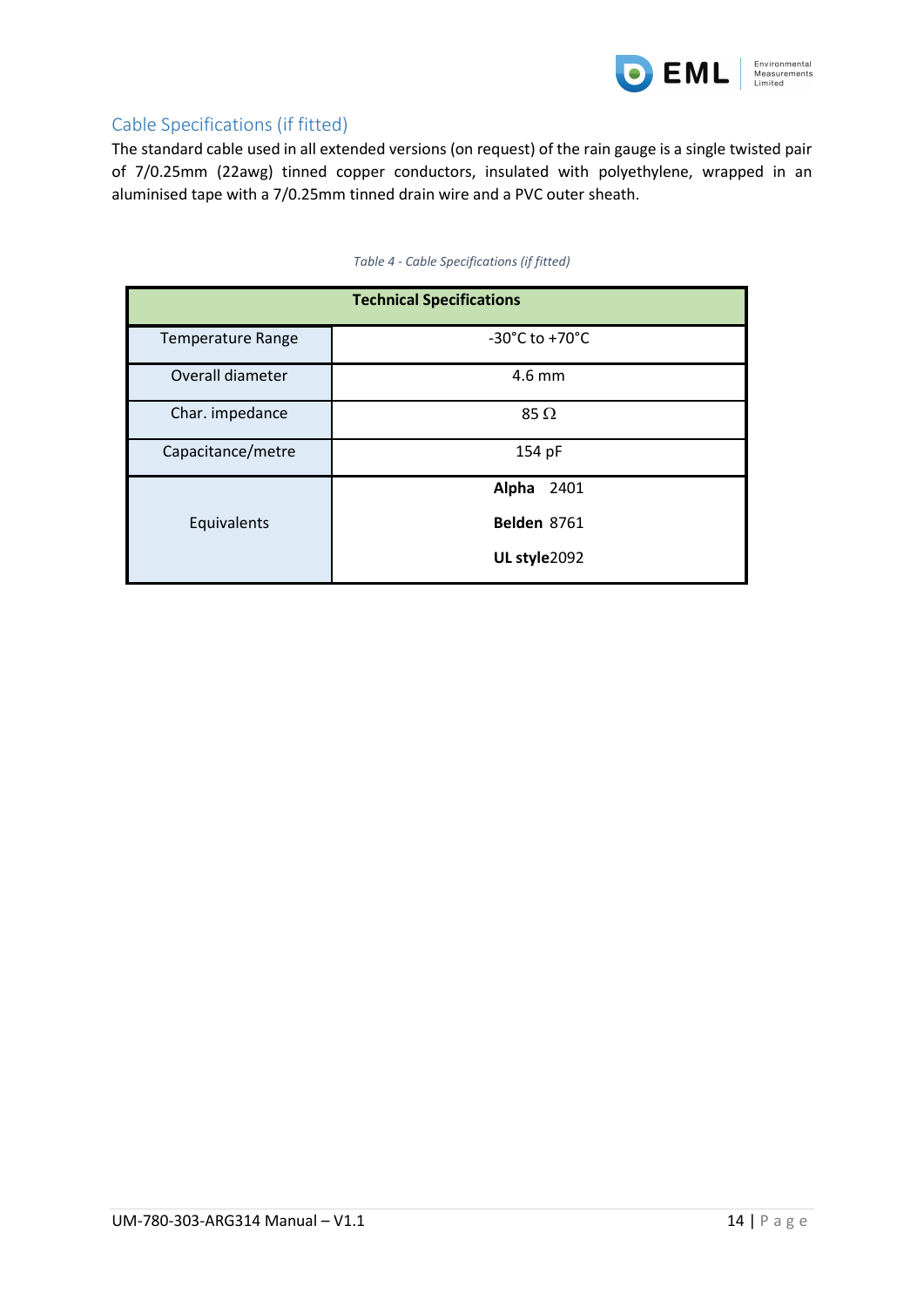

<span id="page-13-0"></span>The standard cable used in all extended versions (on request) of the rain gauge is a single twisted pair of 7/0.25mm (22awg) tinned copper conductors, insulated with polyethylene, wrapped in an aluminised tape with a 7/0.25mm tinned drain wire and a PVC outer sheath.

<span id="page-13-1"></span>

| <b>Technical Specifications</b> |                                      |
|---------------------------------|--------------------------------------|
| <b>Temperature Range</b>        | -30 $^{\circ}$ C to +70 $^{\circ}$ C |
| Overall diameter                | 4.6 mm                               |
| Char. impedance                 | 85 $\Omega$                          |
| Capacitance/metre               | 154 pF                               |
|                                 | Alpha<br>2401                        |
| Equivalents                     | Belden 8761                          |
|                                 | UL style2092                         |

#### *Table 4 - Cable Specifications (if fitted)*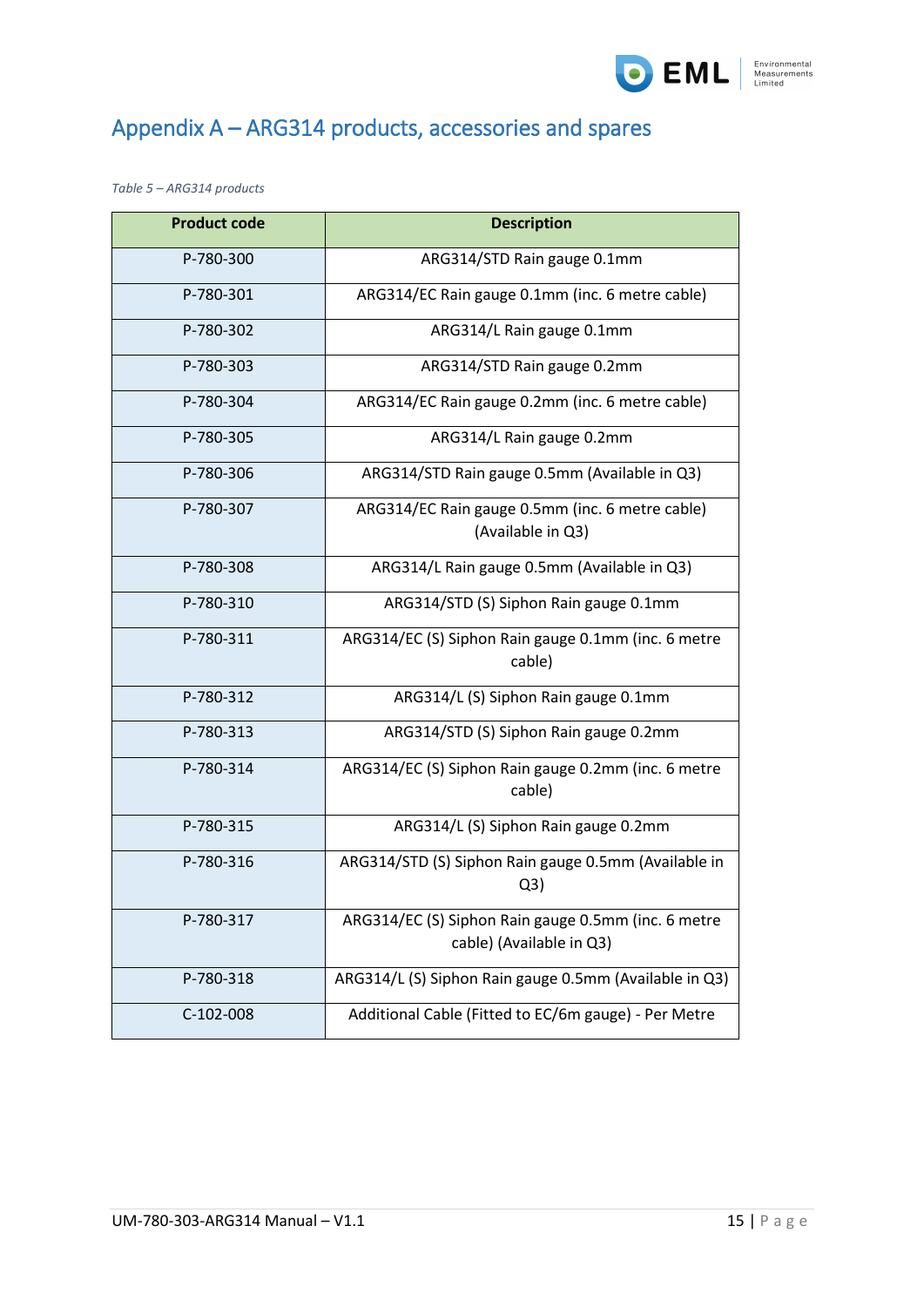

# <span id="page-14-0"></span>Appendix A – ARG314 products, accessories and spares

<span id="page-14-1"></span>*Table 5 – ARG314 products*

| <b>Product code</b> | <b>Description</b>                                                              |
|---------------------|---------------------------------------------------------------------------------|
| P-780-300           | ARG314/STD Rain gauge 0.1mm                                                     |
| P-780-301           | ARG314/EC Rain gauge 0.1mm (inc. 6 metre cable)                                 |
| P-780-302           | ARG314/L Rain gauge 0.1mm                                                       |
| P-780-303           | ARG314/STD Rain gauge 0.2mm                                                     |
| P-780-304           | ARG314/EC Rain gauge 0.2mm (inc. 6 metre cable)                                 |
| P-780-305           | ARG314/L Rain gauge 0.2mm                                                       |
| P-780-306           | ARG314/STD Rain gauge 0.5mm (Available in Q3)                                   |
| P-780-307           | ARG314/EC Rain gauge 0.5mm (inc. 6 metre cable)                                 |
|                     | (Available in Q3)                                                               |
| P-780-308           | ARG314/L Rain gauge 0.5mm (Available in Q3)                                     |
| P-780-310           | ARG314/STD (S) Siphon Rain gauge 0.1mm                                          |
| P-780-311           | ARG314/EC (S) Siphon Rain gauge 0.1mm (inc. 6 metre<br>cable)                   |
| P-780-312           | ARG314/L (S) Siphon Rain gauge 0.1mm                                            |
| P-780-313           | ARG314/STD (S) Siphon Rain gauge 0.2mm                                          |
| P-780-314           | ARG314/EC (S) Siphon Rain gauge 0.2mm (inc. 6 metre<br>cable)                   |
| P-780-315           | ARG314/L (S) Siphon Rain gauge 0.2mm                                            |
| P-780-316           | ARG314/STD (S) Siphon Rain gauge 0.5mm (Available in<br>Q <sub>3</sub>          |
| P-780-317           | ARG314/EC (S) Siphon Rain gauge 0.5mm (inc. 6 metre<br>cable) (Available in Q3) |
| P-780-318           | ARG314/L (S) Siphon Rain gauge 0.5mm (Available in Q3)                          |
| C-102-008           | Additional Cable (Fitted to EC/6m gauge) - Per Metre                            |